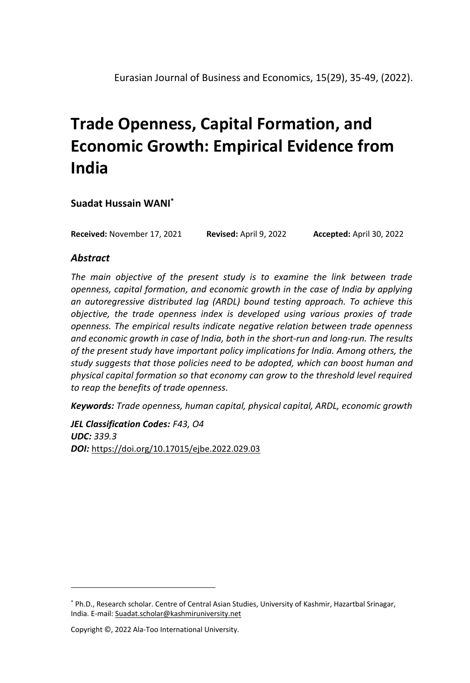**Suadat Hussain WANI\***

**Received:** November 17, 2021 **Revised:** April 9, 2022 **Accepted:** April 30, 2022

## *Abstract*

*The main objective of the present study is to examine the link between trade openness, capital formation, and economic growth in the case of India by applying an autoregressive distributed lag (ARDL) bound testing approach. To achieve this objective, the trade openness index is developed using various proxies of trade openness. The empirical results indicate negative relation between trade openness and economic growth in case of India, both in the short-run and long-run. The results of the present study have important policy implications for India. Among others, the study suggests that those policies need to be adopted, which can boost human and physical capital formation so that economy can grow to the threshold level required to reap the benefits of trade openness.*

*Keywords: Trade openness, human capital, physical capital, ARDL, economic growth*

*JEL Classification Codes: F43, O4 UDC: 339.3 DOI:* <https://doi.org/10.17015/ejbe.2022.029.03>

<sup>\*</sup> Ph.D., Research scholar. Centre of Central Asian Studies, University of Kashmir, Hazartbal Srinagar, India. E-mail: Suadat.scholar@kashmiruniversity.net

Copyright ©, 2022 Ala-Too International University.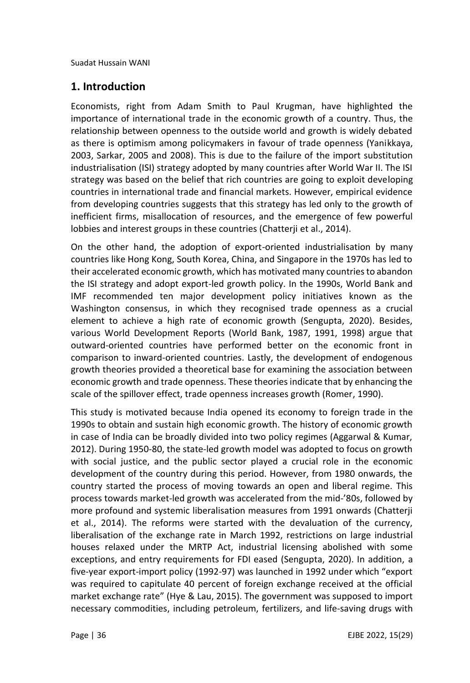## **1. Introduction**

Economists, right from Adam Smith to Paul Krugman, have highlighted the importance of international trade in the economic growth of a country. Thus, the relationship between openness to the outside world and growth is widely debated as there is optimism among policymakers in favour of trade openness (Yanikkaya, 2003, Sarkar, 2005 and 2008). This is due to the failure of the import substitution industrialisation (ISI) strategy adopted by many countries after World War II. The ISI strategy was based on the belief that rich countries are going to exploit developing countries in international trade and financial markets. However, empirical evidence from developing countries suggests that this strategy has led only to the growth of inefficient firms, misallocation of resources, and the emergence of few powerful lobbies and interest groups in these countries (Chatterji et al., 2014).

On the other hand, the adoption of export-oriented industrialisation by many countries like Hong Kong, South Korea, China, and Singapore in the 1970s has led to their accelerated economic growth, which has motivated many countries to abandon the ISI strategy and adopt export-led growth policy. In the 1990s, World Bank and IMF recommended ten major development policy initiatives known as the Washington consensus, in which they recognised trade openness as a crucial element to achieve a high rate of economic growth (Sengupta, 2020). Besides, various World Development Reports (World Bank, 1987, 1991, 1998) argue that outward-oriented countries have performed better on the economic front in comparison to inward-oriented countries. Lastly, the development of endogenous growth theories provided a theoretical base for examining the association between economic growth and trade openness. These theories indicate that by enhancing the scale of the spillover effect, trade openness increases growth (Romer, 1990).

This study is motivated because India opened its economy to foreign trade in the 1990s to obtain and sustain high economic growth. The history of economic growth in case of India can be broadly divided into two policy regimes (Aggarwal & Kumar, 2012). During 1950-80, the state-led growth model was adopted to focus on growth with social justice, and the public sector played a crucial role in the economic development of the country during this period. However, from 1980 onwards, the country started the process of moving towards an open and liberal regime. This process towards market-led growth was accelerated from the mid-'80s, followed by more profound and systemic liberalisation measures from 1991 onwards (Chatterji et al., 2014). The reforms were started with the devaluation of the currency, liberalisation of the exchange rate in March 1992, restrictions on large industrial houses relaxed under the MRTP Act, industrial licensing abolished with some exceptions, and entry requirements for FDI eased (Sengupta, 2020). In addition, a five-year export-import policy (1992-97) was launched in 1992 under which "export was required to capitulate 40 percent of foreign exchange received at the official market exchange rate" (Hye & Lau, 2015). The government was supposed to import necessary commodities, including petroleum, fertilizers, and life-saving drugs with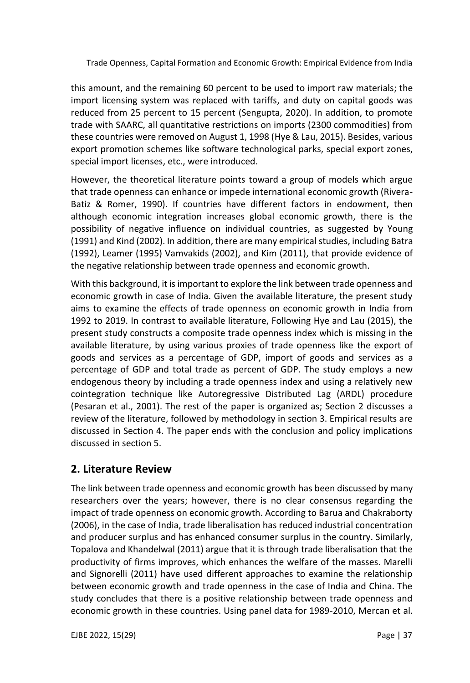this amount, and the remaining 60 percent to be used to import raw materials; the import licensing system was replaced with tariffs, and duty on capital goods was reduced from 25 percent to 15 percent (Sengupta, 2020). In addition, to promote trade with SAARC, all quantitative restrictions on imports (2300 commodities) from these countries were removed on August 1, 1998 (Hye & Lau, 2015). Besides, various export promotion schemes like software technological parks, special export zones, special import licenses, etc., were introduced.

However, the theoretical literature points toward a group of models which argue that trade openness can enhance or impede international economic growth (Rivera-Batiz & Romer, 1990). If countries have different factors in endowment, then although economic integration increases global economic growth, there is the possibility of negative influence on individual countries, as suggested by Young (1991) and Kind (2002). In addition, there are many empirical studies, including Batra (1992), Leamer (1995) Vamvakids (2002), and Kim (2011), that provide evidence of the negative relationship between trade openness and economic growth.

With this background, it is important to explore the link between trade openness and economic growth in case of India. Given the available literature, the present study aims to examine the effects of trade openness on economic growth in India from 1992 to 2019. In contrast to available literature, Following Hye and Lau (2015), the present study constructs a composite trade openness index which is missing in the available literature, by using various proxies of trade openness like the export of goods and services as a percentage of GDP, import of goods and services as a percentage of GDP and total trade as percent of GDP. The study employs a new endogenous theory by including a trade openness index and using a relatively new cointegration technique like Autoregressive Distributed Lag (ARDL) procedure (Pesaran et al., 2001). The rest of the paper is organized as; Section 2 discusses a review of the literature, followed by methodology in section 3. Empirical results are discussed in Section 4. The paper ends with the conclusion and policy implications discussed in section 5.

# **2. Literature Review**

The link between trade openness and economic growth has been discussed by many researchers over the years; however, there is no clear consensus regarding the impact of trade openness on economic growth. According to Barua and Chakraborty (2006), in the case of India, trade liberalisation has reduced industrial concentration and producer surplus and has enhanced consumer surplus in the country. Similarly, Topalova and Khandelwal (2011) argue that it is through trade liberalisation that the productivity of firms improves, which enhances the welfare of the masses. Marelli and Signorelli (2011) have used different approaches to examine the relationship between economic growth and trade openness in the case of India and China. The study concludes that there is a positive relationship between trade openness and economic growth in these countries. Using panel data for 1989-2010, Mercan et al.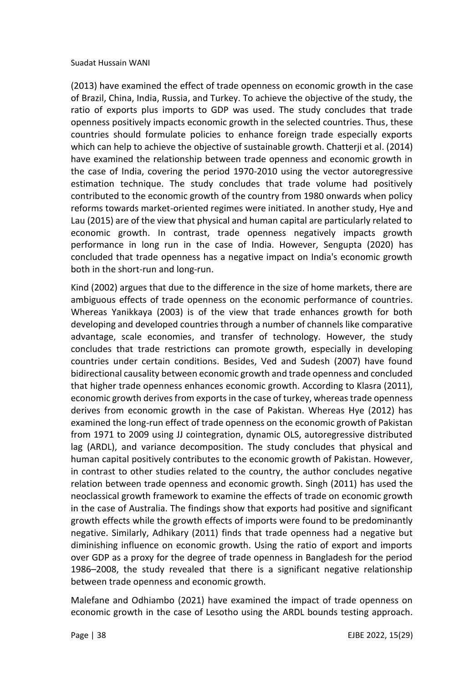(2013) have examined the effect of trade openness on economic growth in the case of Brazil, China, India, Russia, and Turkey. To achieve the objective of the study, the ratio of exports plus imports to GDP was used. The study concludes that trade openness positively impacts economic growth in the selected countries. Thus, these countries should formulate policies to enhance foreign trade especially exports which can help to achieve the objective of sustainable growth. Chatterji et al. (2014) have examined the relationship between trade openness and economic growth in the case of India, covering the period 1970-2010 using the vector autoregressive estimation technique. The study concludes that trade volume had positively contributed to the economic growth of the country from 1980 onwards when policy reforms towards market-oriented regimes were initiated. In another study, Hye and Lau (2015) are of the view that physical and human capital are particularly related to economic growth. In contrast, trade openness negatively impacts growth performance in long run in the case of India. However, Sengupta (2020) has concluded that trade openness has a negative impact on India's economic growth both in the short-run and long-run.

Kind (2002) argues that due to the difference in the size of home markets, there are ambiguous effects of trade openness on the economic performance of countries. Whereas Yanikkaya (2003) is of the view that trade enhances growth for both developing and developed countries through a number of channels like comparative advantage, scale economies, and transfer of technology. However, the study concludes that trade restrictions can promote growth, especially in developing countries under certain conditions. Besides, Ved and Sudesh (2007) have found bidirectional causality between economic growth and trade openness and concluded that higher trade openness enhances economic growth. According to Klasra (2011), economic growth derives from exports in the case of turkey, whereas trade openness derives from economic growth in the case of Pakistan. Whereas Hye (2012) has examined the long-run effect of trade openness on the economic growth of Pakistan from 1971 to 2009 using JJ cointegration, dynamic OLS, autoregressive distributed lag (ARDL), and variance decomposition. The study concludes that physical and human capital positively contributes to the economic growth of Pakistan. However, in contrast to other studies related to the country, the author concludes negative relation between trade openness and economic growth. Singh (2011) has used the neoclassical growth framework to examine the effects of trade on economic growth in the case of Australia. The findings show that exports had positive and significant growth effects while the growth effects of imports were found to be predominantly negative. Similarly, Adhikary (2011) finds that trade openness had a negative but diminishing influence on economic growth. Using the ratio of export and imports over GDP as a proxy for the degree of trade openness in Bangladesh for the period 1986–2008, the study revealed that there is a significant negative relationship between trade openness and economic growth.

Malefane and Odhiambo (2021) have examined the impact of trade openness on economic growth in the case of Lesotho using the ARDL bounds testing approach.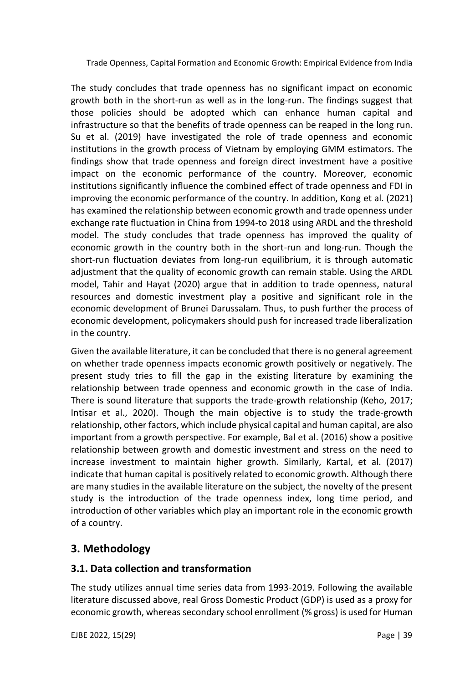The study concludes that trade openness has no significant impact on economic growth both in the short-run as well as in the long-run. The findings suggest that those policies should be adopted which can enhance human capital and infrastructure so that the benefits of trade openness can be reaped in the long run. Su et al. (2019) have investigated the role of trade openness and economic institutions in the growth process of Vietnam by employing GMM estimators. The findings show that trade openness and foreign direct investment have a positive impact on the economic performance of the country. Moreover, economic institutions significantly influence the combined effect of trade openness and FDI in improving the economic performance of the country. In addition, Kong et al. (2021) has examined the relationship between economic growth and trade openness under exchange rate fluctuation in China from 1994-to 2018 using ARDL and the threshold model. The study concludes that trade openness has improved the quality of economic growth in the country both in the short-run and long-run. Though the short-run fluctuation deviates from long-run equilibrium, it is through automatic adjustment that the quality of economic growth can remain stable. Using the ARDL model, Tahir and Hayat (2020) argue that in addition to trade openness, natural resources and domestic investment play a positive and significant role in the economic development of Brunei Darussalam. Thus, to push further the process of economic development, policymakers should push for increased trade liberalization in the country.

Given the available literature, it can be concluded that there is no general agreement on whether trade openness impacts economic growth positively or negatively. The present study tries to fill the gap in the existing literature by examining the relationship between trade openness and economic growth in the case of India. There is sound literature that supports the trade-growth relationship (Keho, 2017; Intisar et al., 2020). Though the main objective is to study the trade-growth relationship, other factors, which include physical capital and human capital, are also important from a growth perspective. For example, Bal et al. (2016) show a positive relationship between growth and domestic investment and stress on the need to increase investment to maintain higher growth. Similarly, Kartal, et al. (2017) indicate that human capital is positively related to economic growth. Although there are many studies in the available literature on the subject, the novelty of the present study is the introduction of the trade openness index, long time period, and introduction of other variables which play an important role in the economic growth of a country.

## **3. Methodology**

## **3.1. Data collection and transformation**

The study utilizes annual time series data from 1993-2019. Following the available literature discussed above, real Gross Domestic Product (GDP) is used as a proxy for economic growth, whereas secondary school enrollment (% gross) is used for Human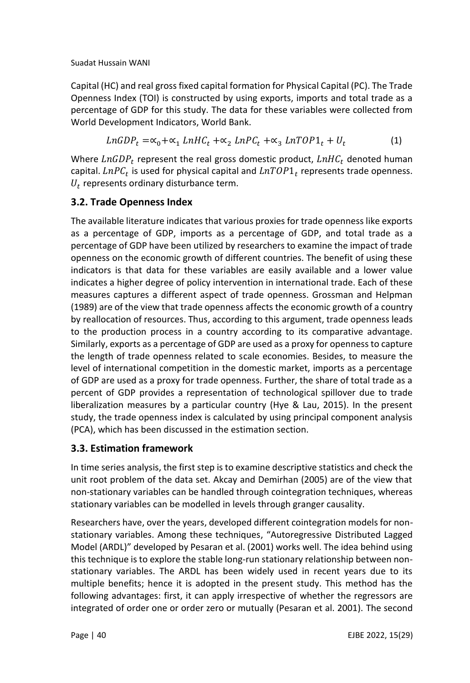Capital (HC) and real gross fixed capital formation for Physical Capital (PC). The Trade Openness Index (TOI) is constructed by using exports, imports and total trade as a percentage of GDP for this study. The data for these variables were collected from World Development Indicators, World Bank.

$$
LnGDP_t = \alpha_0 + \alpha_1 LnHC_t + \alpha_2 LnPC_t + \alpha_3 LnTOP1_t + U_t
$$
 (1)

Where  $LnGDP_t$  represent the real gross domestic product,  $LnHC_t$  denoted human capital.  $\mathit{LnPC}_t$  is used for physical capital and  $\mathit{LnTOP1}_t$  represents trade openness.  $U_t$  represents ordinary disturbance term.

## **3.2. Trade Openness Index**

The available literature indicates that various proxies for trade openness like exports as a percentage of GDP, imports as a percentage of GDP, and total trade as a percentage of GDP have been utilized by researchers to examine the impact of trade openness on the economic growth of different countries. The benefit of using these indicators is that data for these variables are easily available and a lower value indicates a higher degree of policy intervention in international trade. Each of these measures captures a different aspect of trade openness. Grossman and Helpman (1989) are of the view that trade openness affects the economic growth of a country by reallocation of resources. Thus, according to this argument, trade openness leads to the production process in a country according to its comparative advantage. Similarly, exports as a percentage of GDP are used as a proxy for openness to capture the length of trade openness related to scale economies. Besides, to measure the level of international competition in the domestic market, imports as a percentage of GDP are used as a proxy for trade openness. Further, the share of total trade as a percent of GDP provides a representation of technological spillover due to trade liberalization measures by a particular country (Hye & Lau, 2015). In the present study, the trade openness index is calculated by using principal component analysis (PCA), which has been discussed in the estimation section.

## **3.3. Estimation framework**

In time series analysis, the first step is to examine descriptive statistics and check the unit root problem of the data set. Akcay and Demirhan (2005) are of the view that non-stationary variables can be handled through cointegration techniques, whereas stationary variables can be modelled in levels through granger causality.

Researchers have, over the years, developed different cointegration models for nonstationary variables. Among these techniques, "Autoregressive Distributed Lagged Model (ARDL)" developed by Pesaran et al. (2001) works well. The idea behind using this technique is to explore the stable long-run stationary relationship between nonstationary variables. The ARDL has been widely used in recent years due to its multiple benefits; hence it is adopted in the present study. This method has the following advantages: first, it can apply irrespective of whether the regressors are integrated of order one or order zero or mutually (Pesaran et al. 2001). The second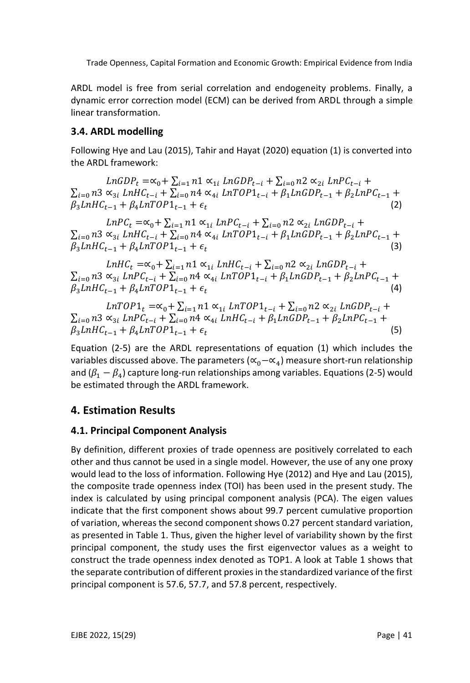ARDL model is free from serial correlation and endogeneity problems. Finally, a dynamic error correction model (ECM) can be derived from ARDL through a simple linear transformation.

## **3.4. ARDL modelling**

Following Hye and Lau (2015), Tahir and Hayat (2020) equation (1) is converted into the ARDL framework:

 $LnGDP<sub>r</sub> = \alpha_0 + \sum_{i=1} n1 \alpha_{1i} LnGDP<sub>r-i</sub> + \sum_{i=0} n2 \alpha_{2i} LnPC<sub>r-i</sub> +$  $\sum_{i=0}$  n3  $\propto_{3i}$  LnHC<sub>t-i</sub> +  $\sum_{i=0}$  n4  $\propto_{4i}$  LnTOP1<sub>t-i</sub> +  $\beta_1$ LnGDP<sub>t-1</sub> +  $\beta_2$ LnPC<sub>t-1</sub> +  $\beta_3LnHC_{t-1} + \beta_4LnTOP1_{t-1} + \epsilon_t$ (2)

 $LnPC_t = \alpha_0 + \sum_{i=1} n1 \alpha_{1i} LnPC_{t-i} + \sum_{i=0} n2 \alpha_{2i} LnGDP_{t-i} +$  $\sum_{i=0}$  n3  $\propto_{3i}$  LnHC<sub>t-i</sub> +  $\sum_{i=0}$  n4  $\propto_{4i}$  LnTOP1<sub>t-i</sub> +  $\beta_1$ LnGDP<sub>t-1</sub> +  $\beta_2$ LnPC<sub>t-1</sub> +  $\beta_3 LnHC_{t-1} + \beta_4 LnTOP1_{t-1} + \epsilon_t$ (3)

 $LnHC_t = \alpha_0 + \sum_{i=1} n1 \alpha_{1i} LnHC_{t-i} + \sum_{i=0} n2 \alpha_{2i} LnGDP_{t-i} +$  $\sum_{i=0}$  n3  $\propto_{3i}$  LnPC<sub>t-i</sub> +  $\sum_{i=0}$  n4  $\propto_{4i}$  LnTOP1<sub>t-i</sub> +  $\beta_1$ LnGDP<sub>t-1</sub> +  $\beta_2$ LnPC<sub>t-1</sub> +  $\beta_3LnHC_{t-1} + \beta_4LnTOP1_{t-1} + \epsilon_t$ (4)

$$
LnTOP1_t = \alpha_0 + \sum_{i=1} n1 \alpha_{1i} LnTOP1_{t-i} + \sum_{i=0} n2 \alpha_{2i} LnGDP_{t-i} + \sum_{i=0} n3 \alpha_{3i} LnPC_{t-i} + \sum_{i=0} n4 \alpha_{4i} LnHC_{t-i} + \beta_1 LnGDP_{t-1} + \beta_2 LnPC_{t-1} + \beta_3 LnHC_{t-1} + \beta_4 LnTOP1_{t-1} + \epsilon_t
$$
\n(5)

Equation (2-5) are the ARDL representations of equation (1) which includes the variables discussed above. The parameters ( $\propto_0-\propto_4$ ) measure short-run relationship and ( $\beta_1-\beta_4$ ) capture long-run relationships among variables. Equations (2-5) would be estimated through the ARDL framework.

## **4. Estimation Results**

#### **4.1. Principal Component Analysis**

By definition, different proxies of trade openness are positively correlated to each other and thus cannot be used in a single model. However, the use of any one proxy would lead to the loss of information. Following Hye (2012) and Hye and Lau (2015), the composite trade openness index (TOI) has been used in the present study. The index is calculated by using principal component analysis (PCA). The eigen values indicate that the first component shows about 99.7 percent cumulative proportion of variation, whereas the second component shows 0.27 percent standard variation, as presented in Table 1. Thus, given the higher level of variability shown by the first principal component, the study uses the first eigenvector values as a weight to construct the trade openness index denoted as TOP1. A look at Table 1 shows that the separate contribution of different proxies in the standardized variance of the first principal component is 57.6, 57.7, and 57.8 percent, respectively.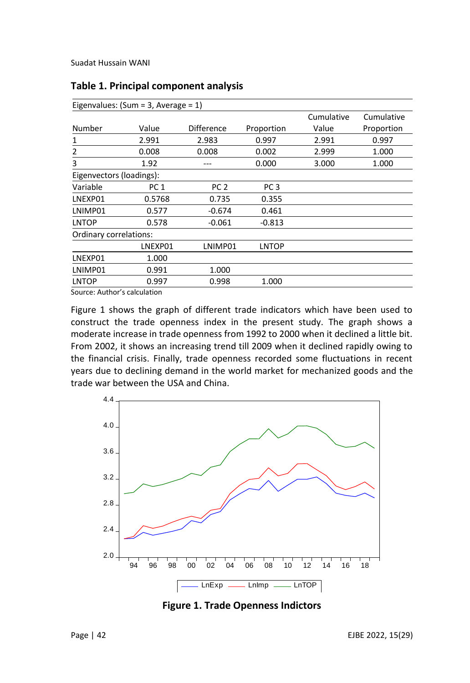| Eigenvalues: $(Sum = 3, Average = 1)$ |                 |                 |                 |            |            |
|---------------------------------------|-----------------|-----------------|-----------------|------------|------------|
|                                       |                 |                 |                 | Cumulative | Cumulative |
| Number                                | Value           | Difference      | Proportion      | Value      | Proportion |
| 1                                     | 2.991           | 2.983           | 0.997           | 2.991      | 0.997      |
| 2                                     | 0.008           | 0.008           | 0.002           | 2.999      | 1.000      |
| 3                                     | 1.92            |                 | 0.000           | 3.000      | 1.000      |
| Eigenvectors (loadings):              |                 |                 |                 |            |            |
| Variable                              | PC <sub>1</sub> | PC <sub>2</sub> | PC <sub>3</sub> |            |            |
| LNEXP01                               | 0.5768          | 0.735           | 0.355           |            |            |
| LNIMP01                               | 0.577           | $-0.674$        | 0.461           |            |            |
| <b>LNTOP</b>                          | 0.578           | $-0.061$        | $-0.813$        |            |            |
| Ordinary correlations:                |                 |                 |                 |            |            |
|                                       | LNEXP01         | LNIMP01         | <b>LNTOP</b>    |            |            |
| LNEXP01                               | 1.000           |                 |                 |            |            |
| LNIMP01                               | 0.991           | 1.000           |                 |            |            |
| <b>LNTOP</b>                          | 0.997           | 0.998           | 1.000           |            |            |

#### **Table 1. Principal component analysis**

Source: Author's calculation

Figure 1 shows the graph of different trade indicators which have been used to construct the trade openness index in the present study. The graph shows a moderate increase in trade openness from 1992 to 2000 when it declined a little bit. From 2002, it shows an increasing trend till 2009 when it declined rapidly owing to the financial crisis. Finally, trade openness recorded some fluctuations in recent years due to declining demand in the world market for mechanized goods and the trade war between the USA and China.



**Figure 1. Trade Openness Indictors**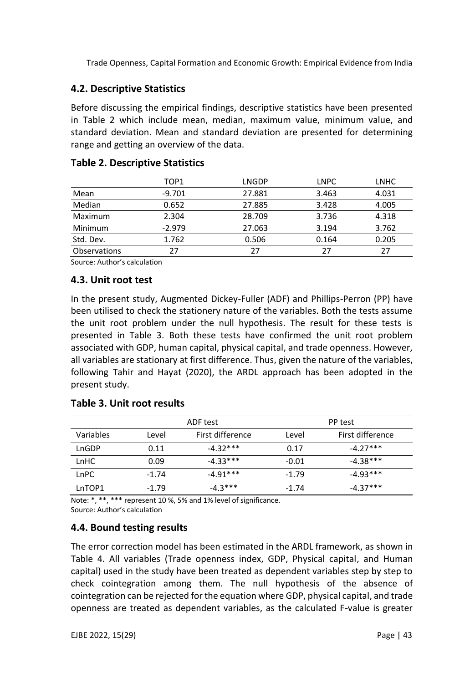## **4.2. Descriptive Statistics**

Before discussing the empirical findings, descriptive statistics have been presented in Table 2 which include mean, median, maximum value, minimum value, and standard deviation. Mean and standard deviation are presented for determining range and getting an overview of the data.

|              | TOP <sub>1</sub> | LNGDP  | <b>LNPC</b> | <b>LNHC</b> |
|--------------|------------------|--------|-------------|-------------|
| Mean         | $-9.701$         | 27.881 | 3.463       | 4.031       |
| Median       | 0.652            | 27.885 | 3.428       | 4.005       |
| Maximum      | 2.304            | 28.709 | 3.736       | 4.318       |
| Minimum      | $-2.979$         | 27.063 | 3.194       | 3.762       |
| Std. Dev.    | 1.762            | 0.506  | 0.164       | 0.205       |
| Observations | 27               | 27     | 27          | 27          |
|              |                  |        |             |             |

#### **Table 2. Descriptive Statistics**

Source: Author's calculation

#### **4.3. Unit root test**

In the present study, Augmented Dickey-Fuller (ADF) and Phillips-Perron (PP) have been utilised to check the stationery nature of the variables. Both the tests assume the unit root problem under the null hypothesis. The result for these tests is presented in Table 3. Both these tests have confirmed the unit root problem associated with GDP, human capital, physical capital, and trade openness. However, all variables are stationary at first difference. Thus, given the nature of the variables, following Tahir and Hayat (2020), the ARDL approach has been adopted in the present study.

#### **Table 3. Unit root results**

|             |         | ADF test         |         | PP test          |
|-------------|---------|------------------|---------|------------------|
| Variables   | Level   | First difference | Level   | First difference |
| LnGDP       | 0.11    | $-4.32***$       | 0.17    | $-4.27***$       |
| LnHC        | 0.09    | $-4.33***$       | $-0.01$ | $-4.38***$       |
| <b>LnPC</b> | $-1.74$ | -4.91***         | $-1.79$ | $-4.93***$       |
| LnTOP1      | $-1.79$ | $-4.3***$        | $-1.74$ | $-4.37***$       |

Note: \*, \*\*, \*\*\* represent 10 %, 5% and 1% level of significance. Source: Author's calculation

## **4.4. Bound testing results**

The error correction model has been estimated in the ARDL framework, as shown in Table 4. All variables (Trade openness index, GDP, Physical capital, and Human capital) used in the study have been treated as dependent variables step by step to check cointegration among them. The null hypothesis of the absence of cointegration can be rejected for the equation where GDP, physical capital, and trade openness are treated as dependent variables, as the calculated F-value is greater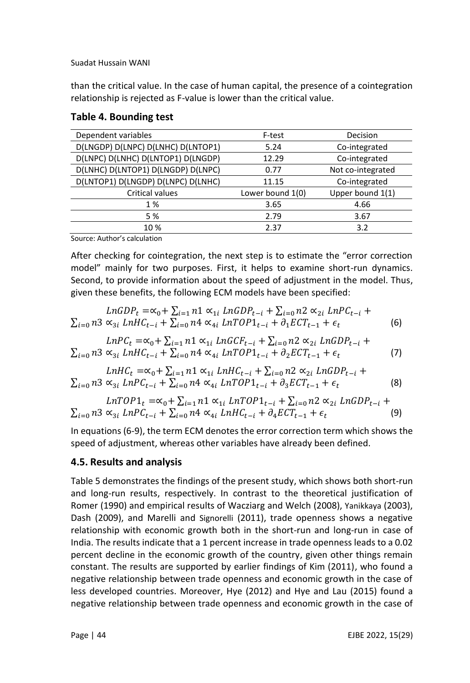than the critical value. In the case of human capital, the presence of a cointegration relationship is rejected as F-value is lower than the critical value.

| Dependent variables                | F-test           | Decision          |
|------------------------------------|------------------|-------------------|
| D(LNGDP) D(LNPC) D(LNHC) D(LNTOP1) | 5.24             | Co-integrated     |
| D(LNPC) D(LNHC) D(LNTOP1) D(LNGDP) | 12.29            | Co-integrated     |
| D(LNHC) D(LNTOP1) D(LNGDP) D(LNPC) | 0.77             | Not co-integrated |
| D(LNTOP1) D(LNGDP) D(LNPC) D(LNHC) | 11.15            | Co-integrated     |
| <b>Critical values</b>             | Lower bound 1(0) | Upper bound 1(1)  |
| 1 %                                | 3.65             | 4.66              |
| 5 %                                | 2.79             | 3.67              |
| 10%                                | 2.37             | 3.2               |
|                                    |                  |                   |

## **Table 4. Bounding test**

Source: Author's calculation

After checking for cointegration, the next step is to estimate the "error correction model" mainly for two purposes. First, it helps to examine short-run dynamics. Second, to provide information about the speed of adjustment in the model. Thus, given these benefits, the following ECM models have been specified:

$$
LnGDP_{t} = \alpha_{0} + \sum_{i=1}^{n} n1 \alpha_{1i} LnGDP_{t-i} + \sum_{i=0}^{n} n2 \alpha_{2i} LnPC_{t-i} + \sum_{i=0}^{n} n3 \alpha_{3i} LnHC_{t-i} + \sum_{i=0}^{n} n4 \alpha_{4i} LnTOP1_{t-i} + \partial_{1} ECT_{t-1} + \epsilon_{t}
$$
 (6)

$$
LnPC_{t} = \alpha_{0} + \sum_{i=1} n1 \alpha_{1i} LnGCF_{t-i} + \sum_{i=0} n2 \alpha_{2i} LnGDP_{t-i} + \sum_{i=0} n3 \alpha_{3i} LnHC_{t-i} + \sum_{i=0} n4 \alpha_{4i} LnTOP1_{t-i} + \partial_{2} ECT_{t-1} + \epsilon_{t}
$$
 (7)

$$
LnHC_t = \alpha_0 + \sum_{i=1} n1 \alpha_{1i} LnHC_{t-i} + \sum_{i=0} n2 \alpha_{2i} LnGDP_{t-i} + \sum_{i=0} n3 \alpha_{3i} LnPC_{t-i} + \sum_{i=0} n4 \alpha_{4i} LnTOP1_{t-i} + \partial_3 ECT_{t-1} + \epsilon_t
$$
\n(8)

$$
LnTOP1_t = \alpha_0 + \sum_{i=1} n1 \alpha_{1i} LnTOP1_{t-i} + \sum_{i=0} n2 \alpha_{2i} LnGDP_{t-i} + \sum_{i=0} n3 \alpha_{3i} LnPC_{t-i} + \sum_{i=0} n4 \alpha_{4i} LnHC_{t-i} + \partial_4 ECT_{t-1} + \epsilon_t
$$
\n(9)

In equations (6-9), the term ECM denotes the error correction term which shows the speed of adjustment, whereas other variables have already been defined.

## **4.5. Results and analysis**

Table 5 demonstrates the findings of the present study, which shows both short-run and long-run results, respectively. In contrast to the theoretical justification of Romer (1990) and empirical results of Wacziarg and Welch (2008), Yanikkaya (2003), Dash (2009), and Marelli and Signorelli (2011), trade openness shows a negative relationship with economic growth both in the short-run and long-run in case of India. The results indicate that a 1 percent increase in trade openness leads to a 0.02 percent decline in the economic growth of the country, given other things remain constant. The results are supported by earlier findings of Kim (2011), who found a negative relationship between trade openness and economic growth in the case of less developed countries. Moreover, Hye (2012) and Hye and Lau (2015) found a negative relationship between trade openness and economic growth in the case of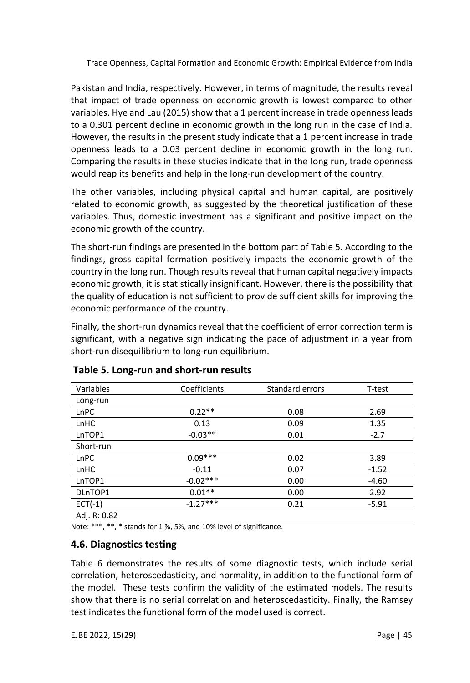Pakistan and India, respectively. However, in terms of magnitude, the results reveal that impact of trade openness on economic growth is lowest compared to other variables. Hye and Lau (2015) show that a 1 percent increase in trade openness leads to a 0.301 percent decline in economic growth in the long run in the case of India. However, the results in the present study indicate that a 1 percent increase in trade openness leads to a 0.03 percent decline in economic growth in the long run. Comparing the results in these studies indicate that in the long run, trade openness would reap its benefits and help in the long-run development of the country.

The other variables, including physical capital and human capital, are positively related to economic growth, as suggested by the theoretical justification of these variables. Thus, domestic investment has a significant and positive impact on the economic growth of the country.

The short-run findings are presented in the bottom part of Table 5. According to the findings, gross capital formation positively impacts the economic growth of the country in the long run. Though results reveal that human capital negatively impacts economic growth, it is statistically insignificant. However, there is the possibility that the quality of education is not sufficient to provide sufficient skills for improving the economic performance of the country.

Finally, the short-run dynamics reveal that the coefficient of error correction term is significant, with a negative sign indicating the pace of adjustment in a year from short-run disequilibrium to long-run equilibrium.

| Variables   | Coefficients | Standard errors | T-test  |
|-------------|--------------|-----------------|---------|
| Long-run    |              |                 |         |
| LnPC        | $0.22**$     | 0.08            | 2.69    |
| LnHC        | 0.13         | 0.09            | 1.35    |
| LnTOP1      | $-0.03**$    | 0.01            | $-2.7$  |
| Short-run   |              |                 |         |
| LnPC        | $0.09***$    | 0.02            | 3.89    |
| LnHC        | $-0.11$      | 0.07            | $-1.52$ |
| LnTOP1      | $-0.02***$   | 0.00            | $-4.60$ |
| DLnTOP1     | $0.01**$     | 0.00            | 2.92    |
| $ECT(-1)$   | $-1.27***$   | 0.21            | $-5.91$ |
| $A \cdot B$ |              |                 |         |

## **Table 5. Long-run and short-run results**

Adj. R: 0.82

Note: \*\*\*, \*\*, \* stands for 1 %, 5%, and 10% level of significance.

#### **4.6. Diagnostics testing**

Table 6 demonstrates the results of some diagnostic tests, which include serial correlation, heteroscedasticity, and normality, in addition to the functional form of the model. These tests confirm the validity of the estimated models. The results show that there is no serial correlation and heteroscedasticity. Finally, the Ramsey test indicates the functional form of the model used is correct.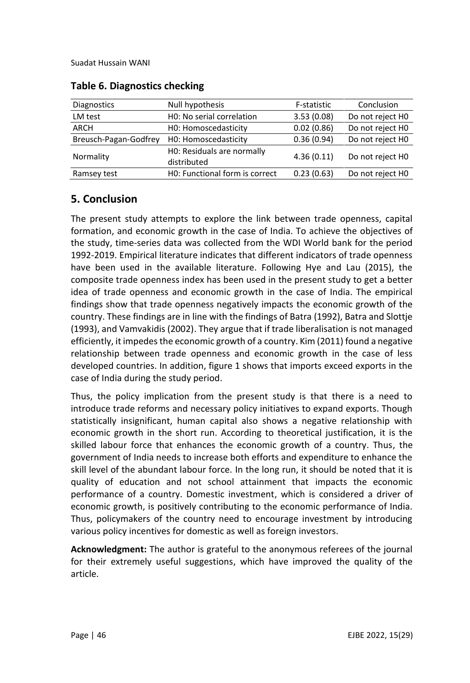| <b>Diagnostics</b>    | Null hypothesis                           | F-statistic | Conclusion       |
|-----------------------|-------------------------------------------|-------------|------------------|
| LM test               | HO: No serial correlation                 | 3.53(0.08)  | Do not reject H0 |
| ARCH                  | H0: Homoscedasticity                      | 0.02(0.86)  | Do not reject H0 |
| Breusch-Pagan-Godfrey | H0: Homoscedasticity                      | 0.36(0.94)  | Do not reject H0 |
| Normality             | HO: Residuals are normally<br>distributed | 4.36(0.11)  | Do not reject H0 |
| Ramsey test           | H0: Functional form is correct            | 0.23(0.63)  | Do not reject H0 |
|                       |                                           |             |                  |

#### **Table 6. Diagnostics checking**

# **5. Conclusion**

The present study attempts to explore the link between trade openness, capital formation, and economic growth in the case of India. To achieve the objectives of the study, time-series data was collected from the WDI World bank for the period 1992-2019. Empirical literature indicates that different indicators of trade openness have been used in the available literature. Following Hye and Lau (2015), the composite trade openness index has been used in the present study to get a better idea of trade openness and economic growth in the case of India. The empirical findings show that trade openness negatively impacts the economic growth of the country. These findings are in line with the findings of Batra (1992), Batra and Slottje (1993), and Vamvakidis (2002). They argue that if trade liberalisation is not managed efficiently, it impedes the economic growth of a country. Kim (2011) found a negative relationship between trade openness and economic growth in the case of less developed countries. In addition, figure 1 shows that imports exceed exports in the case of India during the study period.

Thus, the policy implication from the present study is that there is a need to introduce trade reforms and necessary policy initiatives to expand exports. Though statistically insignificant, human capital also shows a negative relationship with economic growth in the short run. According to theoretical justification, it is the skilled labour force that enhances the economic growth of a country. Thus, the government of India needs to increase both efforts and expenditure to enhance the skill level of the abundant labour force. In the long run, it should be noted that it is quality of education and not school attainment that impacts the economic performance of a country. Domestic investment, which is considered a driver of economic growth, is positively contributing to the economic performance of India. Thus, policymakers of the country need to encourage investment by introducing various policy incentives for domestic as well as foreign investors.

**Acknowledgment:** The author is grateful to the anonymous referees of the journal for their extremely useful suggestions, which have improved the quality of the article.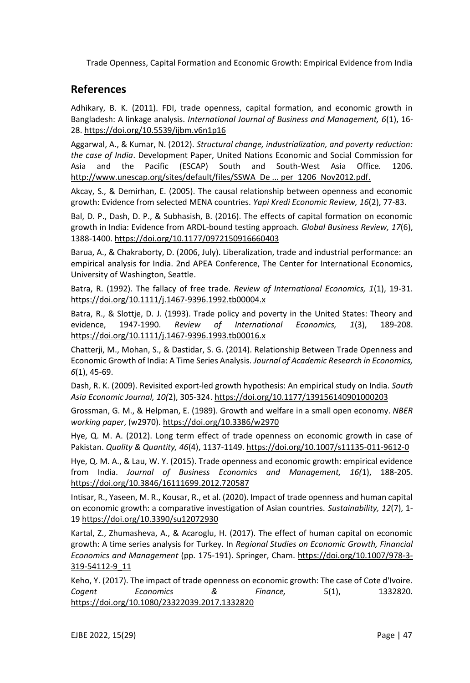## **References**

Adhikary, B. K. (2011). FDI, trade openness, capital formation, and economic growth in Bangladesh: A linkage analysis. *International Journal of Business and Management, 6*(1), 16- 28.<https://doi.org/10.5539/ijbm.v6n1p16>

Aggarwal, A., & Kumar, N. (2012). *Structural change, industrialization, and poverty reduction: the case of India*. Development Paper, United Nations Economic and Social Commission for Asia and the Pacific (ESCAP) South and South-West Asia Office*.* 1206. [http://www.unescap.org/sites/default/files/SSWA\\_De ... per\\_1206\\_Nov2012.pdf.](https://econpapers.repec.org/scripts/redir.pf?u=http%3A%2F%2Fwww.unescap.org%2Fsites%2Fdefault%2Ffiles%2FSSWA_Development_Paper_1206_Nov2012.pdf;h=repec:eap:sswadp:dp1206)

Akcay, S., & Demirhan, E. (2005). The causal relationship between openness and economic growth: Evidence from selected MENA countries. *Yapi Kredi Economic Review, 16*(2), 77-83.

Bal, D. P., Dash, D. P., & Subhasish, B. (2016). The effects of capital formation on economic growth in India: Evidence from ARDL-bound testing approach. *Global Business Review, 17*(6), 1388-1400[. https://doi.org/10.1177/0972150916660403](https://doi.org/10.1177/0972150916660403)

Barua, A., & Chakraborty, D. (2006, July). Liberalization, trade and industrial performance: an empirical analysis for India. 2nd APEA Conference, The Center for International Economics, University of Washington, Seattle.

Batra, R. (1992). The fallacy of free trade. *Review of International Economics, 1*(1), 19-31. <https://doi.org/10.1111/j.1467-9396.1992.tb00004.x>

Batra, R., & Slottje, D. J. (1993). Trade policy and poverty in the United States: Theory and evidence, 1947‐1990. *Review of International Economics, 1*(3), 189-208. <https://doi.org/10.1111/j.1467-9396.1993.tb00016.x>

Chatterji, M., Mohan, S., & Dastidar, S. G. (2014). Relationship Between Trade Openness and Economic Growth of India: A Time Series Analysis. *Journal of Academic Research in Economics, 6*(1), 45-69.

Dash, R. K. (2009). Revisited export-led growth hypothesis: An empirical study on India. *South Asia Economic Journal, 10(*2), 305-324[. https://doi.org/10.1177/139156140901000203](https://doi.org/10.1177/139156140901000203)

Grossman, G. M., & Helpman, E. (1989). Growth and welfare in a small open economy. *NBER working paper*, (w2970)[. https://doi.org/10.3386/w2970](https://doi.org/10.3386/w2970)

Hye, Q. M. A. (2012). Long term effect of trade openness on economic growth in case of Pakistan. *Quality & Quantity, 46*(4), 1137-1149[. https://doi.org/10.1007/s11135-011-9612-0](https://doi.org/10.1007/s11135-011-9612-0)

Hye, Q. M. A., & Lau, W. Y. (2015). Trade openness and economic growth: empirical evidence from India. *Journal of Business Economics and Management, 16(*1), 188-205. <https://doi.org/10.3846/16111699.2012.720587>

Intisar, R., Yaseen, M. R., Kousar, R., et al. (2020). Impact of trade openness and human capital on economic growth: a comparative investigation of Asian countries. *Sustainability, 12*(7), 1- 1[9 https://doi.org/10.3390/su12072930](https://doi.org/10.3390/su12072930)

Kartal, Z., Zhumasheva, A., & Acaroglu, H. (2017). The effect of human capital on economic growth: A time series analysis for Turkey. In *Regional Studies on Economic Growth, Financial Economics and Management* (pp. 175-191). Springer, Cham. [https://doi.org/10.1007/978-3-](https://doi.org/10.1007/978-3-319-54112-9_11) [319-54112-9\\_11](https://doi.org/10.1007/978-3-319-54112-9_11)

Keho, Y. (2017). The impact of trade openness on economic growth: The case of Cote d'Ivoire. *Cogent Economics & Finance,* 5(1), 1332820. <https://doi.org/10.1080/23322039.2017.1332820>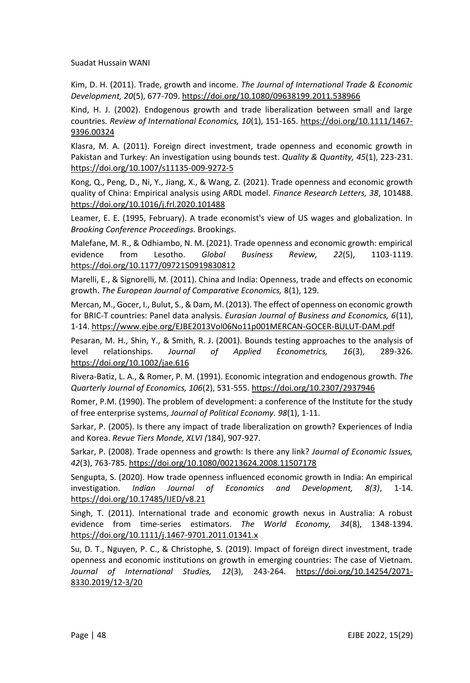Kim, D. H. (2011). Trade, growth and income. *The Journal of International Trade & Economic Development, 20*(5), 677-709[. https://doi.org/10.1080/09638199.2011.538966](https://doi.org/10.1080/09638199.2011.538966)

Kind, H. J. (2002). Endogenous growth and trade liberalization between small and large countries. *Review of International Economics, 10*(1), 151-165. [https://doi.org/10.1111/1467-](https://doi.org/10.1111/1467-9396.00324) [9396.00324](https://doi.org/10.1111/1467-9396.00324)

Klasra, M. A. (2011). Foreign direct investment, trade openness and economic growth in Pakistan and Turkey: An investigation using bounds test. *Quality & Quantity, 45*(1), 223-231. <https://doi.org/10.1007/s11135-009-9272-5>

Kong, Q., Peng, D., Ni, Y., Jiang, X., & Wang, Z. (2021). Trade openness and economic growth quality of China: Empirical analysis using ARDL model. *Finance Research Letters, 38*, 101488. <https://doi.org/10.1016/j.frl.2020.101488>

Leamer, E. E. (1995, February). A trade economist's view of US wages and globalization. In *Brooking Conference Proceedings*. Brookings.

Malefane, M. R., & Odhiambo, N. M. (2021). Trade openness and economic growth: empirical evidence from Lesotho. *Global Business Review, 22*(5), 1103-1119. <https://doi.org/10.1177/0972150919830812>

Marelli, E., & Signorelli, M. (2011). China and India: Openness, trade and effects on economic growth. *The European Journal of Comparative Economics,* 8(1), 129.

Mercan, M., Gocer, I., Bulut, S., & Dam, M. (2013). The effect of openness on economic growth for BRIC-T countries: Panel data analysis. *Eurasian Journal of Business and Economics, 6*(11), 1-14. https://www.ejbe.org/EJBE2013Vol06No11p001MERCAN-GOCER-BULUT-DAM.pdf

Pesaran, M. H., Shin, Y., & Smith, R. J. (2001). Bounds testing approaches to the analysis of level relationships. *Journal of Applied Econometrics, 16*(3), 289-326. <https://doi.org/10.1002/jae.616>

Rivera-Batiz, L. A., & Romer, P. M. (1991). Economic integration and endogenous growth. *The Quarterly Journal of Economics, 106*(2), 531-555[. https://doi.org/10.2307/2937946](https://doi.org/10.2307/2937946)

Romer, P.M. (1990). The problem of development: a conference of the Institute for the study of free enterprise systems, *Journal of Political Economy. 98*(1), 1-11.

Sarkar, P. (2005). Is there any impact of trade liberalization on growth? Experiences of India and Korea. *Revue Tiers Monde, XLVI (*184), 907-927.

Sarkar, P. (2008). Trade openness and growth: Is there any link? *Journal of Economic Issues, 42*(3), 763-785[. https://doi.org/10.1080/00213624.2008.11507178](https://doi.org/10.1080/00213624.2008.11507178)

Sengupta, S. (2020). How trade openness influenced economic growth in India: An empirical investigation. *Indian Journal of Economics and Development, 8(3)*, 1-14. <https://doi.org/10.17485/IJED/v8.21>

Singh, T. (2011). International trade and economic growth nexus in Australia: A robust evidence from time-series estimators. *The World Economy, 34*(8), 1348-1394. <https://doi.org/10.1111/j.1467-9701.2011.01341.x>

Su, D. T., Nguyen, P. C., & Christophe, S. (2019). Impact of foreign direct investment, trade openness and economic institutions on growth in emerging countries: The case of Vietnam. *Journal of International Studies, 12*(3), 243-264. [https://doi.org/10.14254/2071-](https://doi.org/10.14254/2071-8330.2019/12-3/20) [8330.2019/12-3/20](https://doi.org/10.14254/2071-8330.2019/12-3/20)